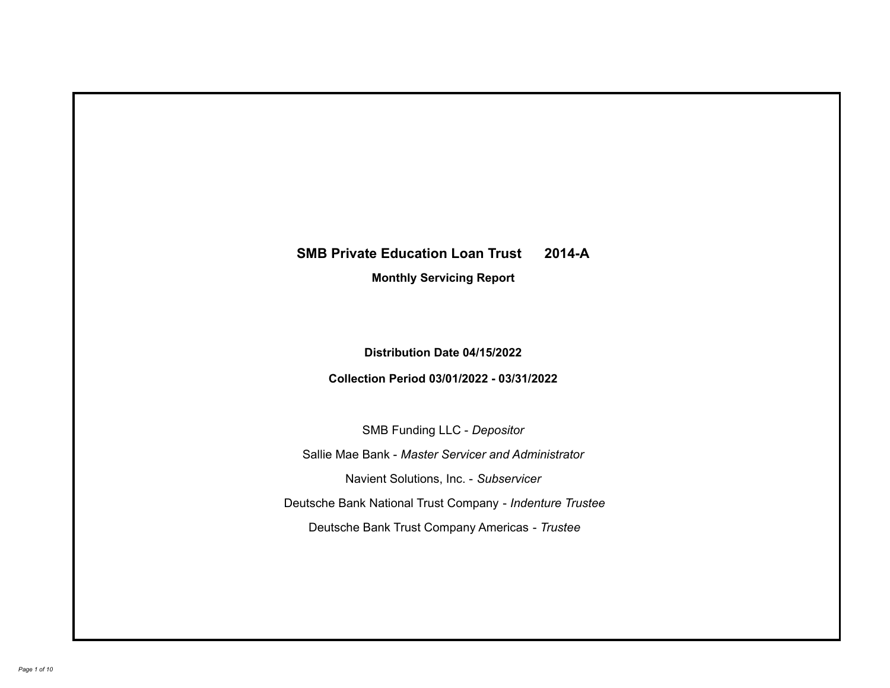# **SMB Private Education Loan Trust 2014-A**

**Monthly Servicing Report**

**Distribution Date 04/15/2022**

**Collection Period 03/01/2022 - 03/31/2022**

SMB Funding LLC - *Depositor*

Sallie Mae Bank - *Master Servicer and Administrator*

Navient Solutions, Inc. - *Subservicer*

Deutsche Bank National Trust Company - *Indenture Trustee*

Deutsche Bank Trust Company Americas - *Trustee*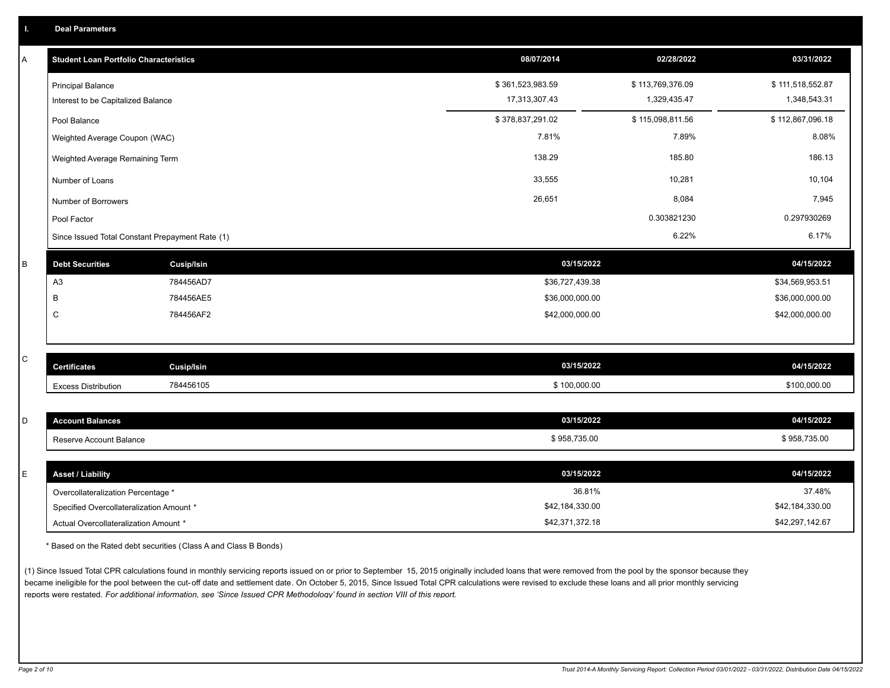| Α | <b>Student Loan Portfolio Characteristics</b>   |                   | 08/07/2014       | 02/28/2022       | 03/31/2022       |
|---|-------------------------------------------------|-------------------|------------------|------------------|------------------|
|   | <b>Principal Balance</b>                        |                   | \$361,523,983.59 | \$113,769,376.09 | \$111,518,552.87 |
|   | Interest to be Capitalized Balance              |                   | 17,313,307.43    | 1,329,435.47     | 1,348,543.31     |
|   | Pool Balance                                    |                   | \$378,837,291.02 | \$115,098,811.56 | \$112,867,096.18 |
|   | Weighted Average Coupon (WAC)                   |                   | 7.81%            | 7.89%            | 8.08%            |
|   | Weighted Average Remaining Term                 |                   | 138.29           | 185.80           | 186.13           |
|   | Number of Loans                                 |                   | 33,555           | 10,281           | 10,104           |
|   | Number of Borrowers                             |                   | 26,651           | 8,084            | 7,945            |
|   | Pool Factor                                     |                   |                  | 0.303821230      | 0.297930269      |
|   | Since Issued Total Constant Prepayment Rate (1) |                   |                  | 6.22%            | 6.17%            |
| B | <b>Debt Securities</b>                          | Cusip/Isin        | 03/15/2022       |                  | 04/15/2022       |
|   | A <sub>3</sub>                                  | 784456AD7         | \$36,727,439.38  |                  | \$34,569,953.51  |
|   | B                                               | 784456AE5         | \$36,000,000.00  |                  | \$36,000,000.00  |
|   | $\mathsf{C}$                                    | 784456AF2         | \$42,000,000.00  |                  | \$42,000,000.00  |
|   |                                                 |                   |                  |                  |                  |
| C | <b>Certificates</b>                             | <b>Cusip/Isin</b> | 03/15/2022       |                  | 04/15/2022       |
|   | <b>Excess Distribution</b>                      | 784456105         | \$100,000.00     |                  | \$100,000.00     |
|   |                                                 |                   |                  |                  |                  |
| D | <b>Account Balances</b>                         |                   | 03/15/2022       |                  | 04/15/2022       |
|   | Reserve Account Balance                         |                   | \$958,735.00     |                  | \$958,735.00     |
|   |                                                 |                   |                  |                  |                  |
| Е | <b>Asset / Liability</b>                        |                   | 03/15/2022       |                  | 04/15/2022       |
|   | Overcollateralization Percentage *              |                   | 36.81%           |                  | 37.48%           |
|   | Specified Overcollateralization Amount *        |                   | \$42,184,330.00  |                  | \$42,184,330.00  |

\* Based on the Rated debt securities (Class A and Class B Bonds)

(1) Since Issued Total CPR calculations found in monthly servicing reports issued on or prior to September 15, 2015 originally included loans that were removed from the pool by the sponsor because they became ineligible for the pool between the cut-off date and settlement date. On October 5, 2015, Since Issued Total CPR calculations were revised to exclude these loans and all prior monthly servicing reports were restated. *For additional information, see 'Since Issued CPR Methodology' found in section VIII of this report.*

Actual Overcollateralization Amount \* \$42,371,372.18

\$42,297,142.67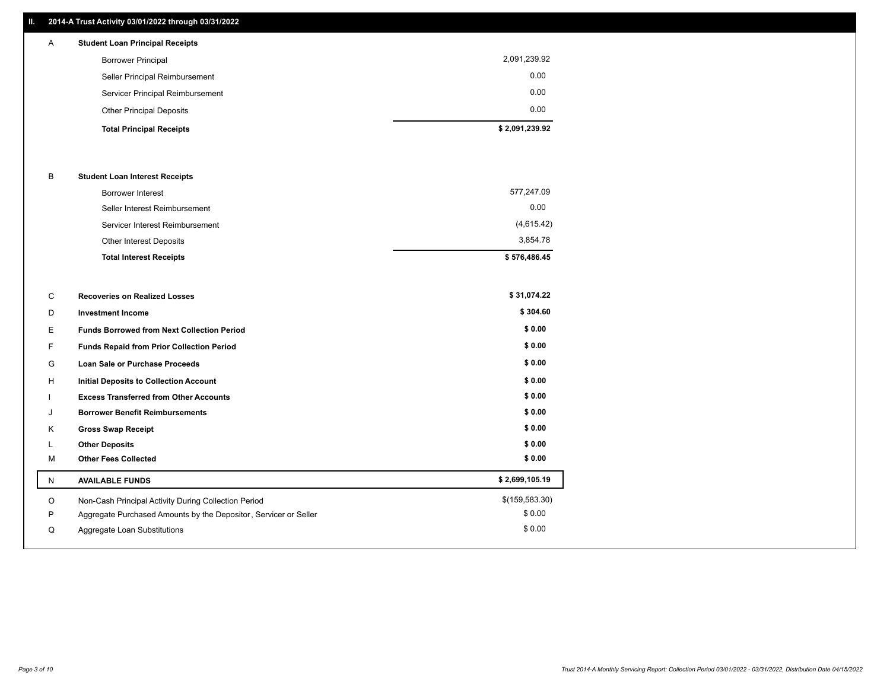### **II. 2014-A Trust Activity 03/01/2022 through 03/31/2022**

| $\mathsf{A}$ | <b>Student Loan Principal Receipts</b> |                |
|--------------|----------------------------------------|----------------|
|              | <b>Borrower Principal</b>              | 2,091,239.92   |
|              | Seller Principal Reimbursement         | 0.00           |
|              | Servicer Principal Reimbursement       | 0.00           |
|              | <b>Other Principal Deposits</b>        | 0.00           |
|              | <b>Total Principal Receipts</b>        | \$2,091,239.92 |

#### B **Student Loan Interest Receipts**

| <b>Total Interest Receipts</b>  | \$576,486.45 |
|---------------------------------|--------------|
| Other Interest Deposits         | 3.854.78     |
| Servicer Interest Reimbursement | (4,615.42)   |
| Seller Interest Reimbursement   | 0.00         |
| <b>Borrower Interest</b>        | 577,247.09   |

| С  | <b>Recoveries on Realized Losses</b>                             | \$31,074.22    |
|----|------------------------------------------------------------------|----------------|
| D  | <b>Investment Income</b>                                         | \$304.60       |
| E  | <b>Funds Borrowed from Next Collection Period</b>                | \$0.00         |
| F. | <b>Funds Repaid from Prior Collection Period</b>                 | \$0.00         |
| G  | <b>Loan Sale or Purchase Proceeds</b>                            | \$0.00         |
| H  | <b>Initial Deposits to Collection Account</b>                    | \$0.00         |
|    | <b>Excess Transferred from Other Accounts</b>                    | \$0.00         |
| J  | <b>Borrower Benefit Reimbursements</b>                           | \$0.00         |
| Κ  | <b>Gross Swap Receipt</b>                                        | \$0.00         |
|    | <b>Other Deposits</b>                                            | \$0.00         |
| м  | <b>Other Fees Collected</b>                                      | \$0.00         |
| N  | <b>AVAILABLE FUNDS</b>                                           | \$2,699,105.19 |
| O  | Non-Cash Principal Activity During Collection Period             | \$(159,583.30) |
| P  | Aggregate Purchased Amounts by the Depositor, Servicer or Seller | \$0.00         |
| Q  | Aggregate Loan Substitutions                                     | \$0.00         |
|    |                                                                  |                |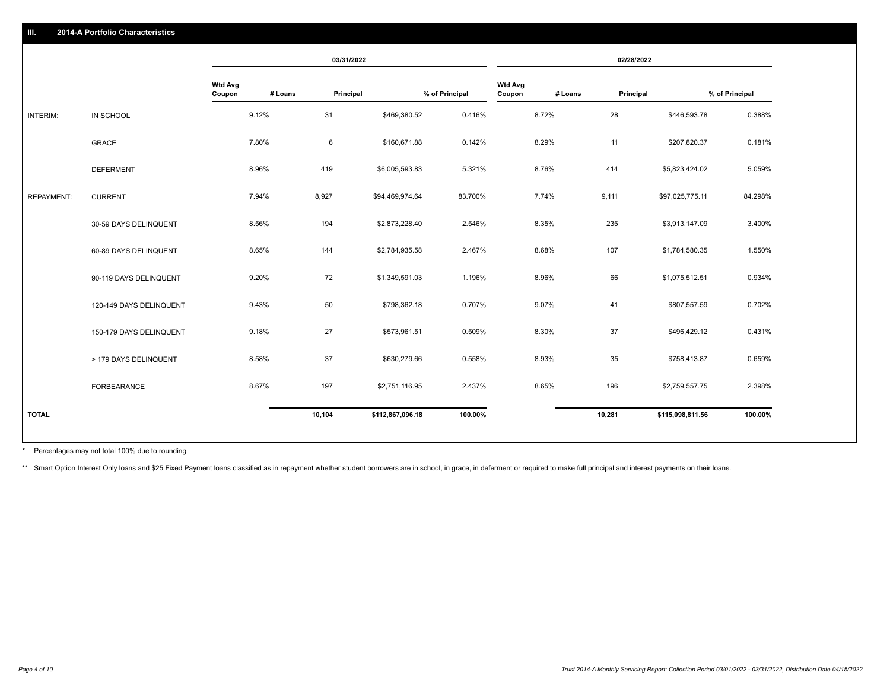|                   |                         | 03/31/2022               |         | 02/28/2022 |                  |                |                          |         |           |                  |                |
|-------------------|-------------------------|--------------------------|---------|------------|------------------|----------------|--------------------------|---------|-----------|------------------|----------------|
|                   |                         | <b>Wtd Avg</b><br>Coupon | # Loans | Principal  |                  | % of Principal | <b>Wtd Avg</b><br>Coupon | # Loans | Principal |                  | % of Principal |
| INTERIM:          | IN SCHOOL               |                          | 9.12%   | 31         | \$469,380.52     | 0.416%         |                          | 8.72%   | 28        | \$446,593.78     | 0.388%         |
|                   | <b>GRACE</b>            |                          | 7.80%   | 6          | \$160,671.88     | 0.142%         |                          | 8.29%   | 11        | \$207,820.37     | 0.181%         |
|                   | <b>DEFERMENT</b>        |                          | 8.96%   | 419        | \$6,005,593.83   | 5.321%         |                          | 8.76%   | 414       | \$5,823,424.02   | 5.059%         |
| <b>REPAYMENT:</b> | <b>CURRENT</b>          |                          | 7.94%   | 8,927      | \$94,469,974.64  | 83.700%        |                          | 7.74%   | 9,111     | \$97,025,775.11  | 84.298%        |
|                   | 30-59 DAYS DELINQUENT   |                          | 8.56%   | 194        | \$2,873,228.40   | 2.546%         |                          | 8.35%   | 235       | \$3,913,147.09   | 3.400%         |
|                   | 60-89 DAYS DELINQUENT   |                          | 8.65%   | 144        | \$2,784,935.58   | 2.467%         |                          | 8.68%   | 107       | \$1,784,580.35   | 1.550%         |
|                   | 90-119 DAYS DELINQUENT  |                          | 9.20%   | 72         | \$1,349,591.03   | 1.196%         |                          | 8.96%   | 66        | \$1,075,512.51   | 0.934%         |
|                   | 120-149 DAYS DELINQUENT |                          | 9.43%   | 50         | \$798,362.18     | 0.707%         |                          | 9.07%   | 41        | \$807,557.59     | 0.702%         |
|                   | 150-179 DAYS DELINQUENT |                          | 9.18%   | 27         | \$573,961.51     | 0.509%         |                          | 8.30%   | 37        | \$496,429.12     | 0.431%         |
|                   | > 179 DAYS DELINQUENT   |                          | 8.58%   | 37         | \$630,279.66     | 0.558%         |                          | 8.93%   | 35        | \$758,413.87     | 0.659%         |
|                   | FORBEARANCE             |                          | 8.67%   | 197        | \$2,751,116.95   | 2.437%         |                          | 8.65%   | 196       | \$2,759,557.75   | 2.398%         |
| <b>TOTAL</b>      |                         |                          |         | 10,104     | \$112,867,096.18 | 100.00%        |                          |         | 10,281    | \$115,098,811.56 | 100.00%        |
|                   |                         |                          |         |            |                  |                |                          |         |           |                  |                |

Percentages may not total 100% due to rounding \*

\*\* Smart Option Interest Only loans and \$25 Fixed Payment loans classified as in repayment whether student borrowers are in school, in grace, in deferment or required to make full principal and interest payments on their l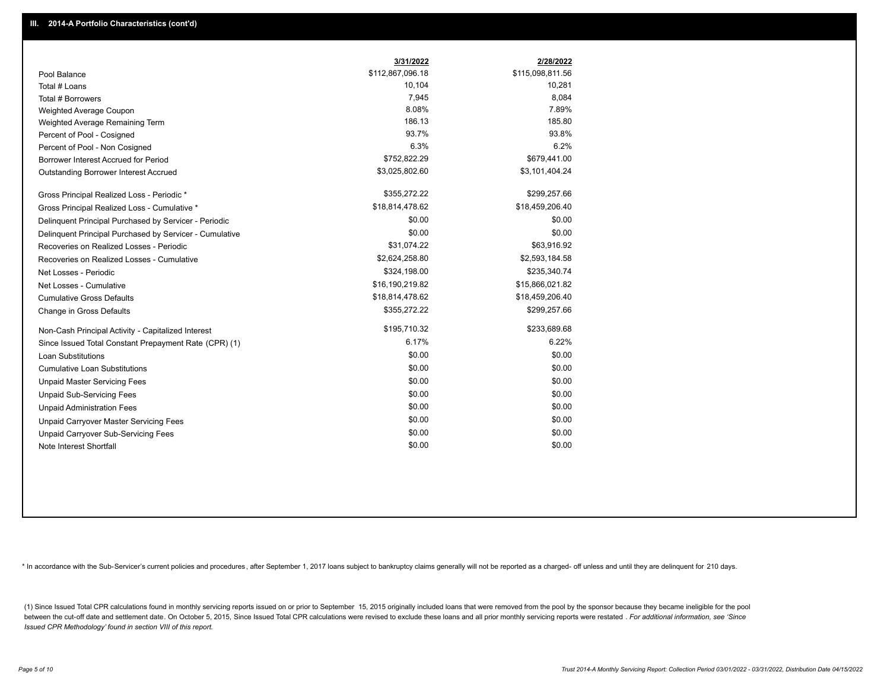|                                                         | 3/31/2022        | 2/28/2022        |
|---------------------------------------------------------|------------------|------------------|
| Pool Balance                                            | \$112,867,096.18 | \$115,098,811.56 |
| Total # Loans                                           | 10,104           | 10,281           |
| Total # Borrowers                                       | 7,945            | 8,084            |
| Weighted Average Coupon                                 | 8.08%            | 7.89%            |
| Weighted Average Remaining Term                         | 186.13           | 185.80           |
| Percent of Pool - Cosigned                              | 93.7%            | 93.8%            |
| Percent of Pool - Non Cosigned                          | 6.3%             | 6.2%             |
| Borrower Interest Accrued for Period                    | \$752,822.29     | \$679,441.00     |
| Outstanding Borrower Interest Accrued                   | \$3,025,802.60   | \$3,101,404.24   |
| Gross Principal Realized Loss - Periodic *              | \$355,272.22     | \$299,257.66     |
| Gross Principal Realized Loss - Cumulative *            | \$18,814,478.62  | \$18,459,206.40  |
| Delinquent Principal Purchased by Servicer - Periodic   | \$0.00           | \$0.00           |
| Delinquent Principal Purchased by Servicer - Cumulative | \$0.00           | \$0.00           |
| Recoveries on Realized Losses - Periodic                | \$31,074.22      | \$63,916.92      |
| Recoveries on Realized Losses - Cumulative              | \$2,624,258.80   | \$2,593,184.58   |
| Net Losses - Periodic                                   | \$324,198.00     | \$235,340.74     |
| Net Losses - Cumulative                                 | \$16,190,219.82  | \$15,866,021.82  |
| <b>Cumulative Gross Defaults</b>                        | \$18,814,478.62  | \$18,459,206.40  |
| Change in Gross Defaults                                | \$355,272.22     | \$299,257.66     |
| Non-Cash Principal Activity - Capitalized Interest      | \$195,710.32     | \$233,689.68     |
| Since Issued Total Constant Prepayment Rate (CPR) (1)   | 6.17%            | 6.22%            |
| <b>Loan Substitutions</b>                               | \$0.00           | \$0.00           |
| <b>Cumulative Loan Substitutions</b>                    | \$0.00           | \$0.00           |
| <b>Unpaid Master Servicing Fees</b>                     | \$0.00           | \$0.00           |
| <b>Unpaid Sub-Servicing Fees</b>                        | \$0.00           | \$0.00           |
| <b>Unpaid Administration Fees</b>                       | \$0.00           | \$0.00           |
| <b>Unpaid Carryover Master Servicing Fees</b>           | \$0.00           | \$0.00           |
| Unpaid Carryover Sub-Servicing Fees                     | \$0.00           | \$0.00           |
| Note Interest Shortfall                                 | \$0.00           | \$0.00           |

\* In accordance with the Sub-Servicer's current policies and procedures, after September 1, 2017 loans subject to bankruptcy claims generally will not be reported as a charged- off unless and until they are delinquent for

(1) Since Issued Total CPR calculations found in monthly servicing reports issued on or prior to September 15, 2015 originally included loans that were removed from the pool by the sponsor because they became ineligible fo between the cut-off date and settlement date. On October 5, 2015, Since Issued Total CPR calculations were revised to exclude these loans and all prior monthly servicing reports were restated . For additional information, *Issued CPR Methodology' found in section VIII of this report.*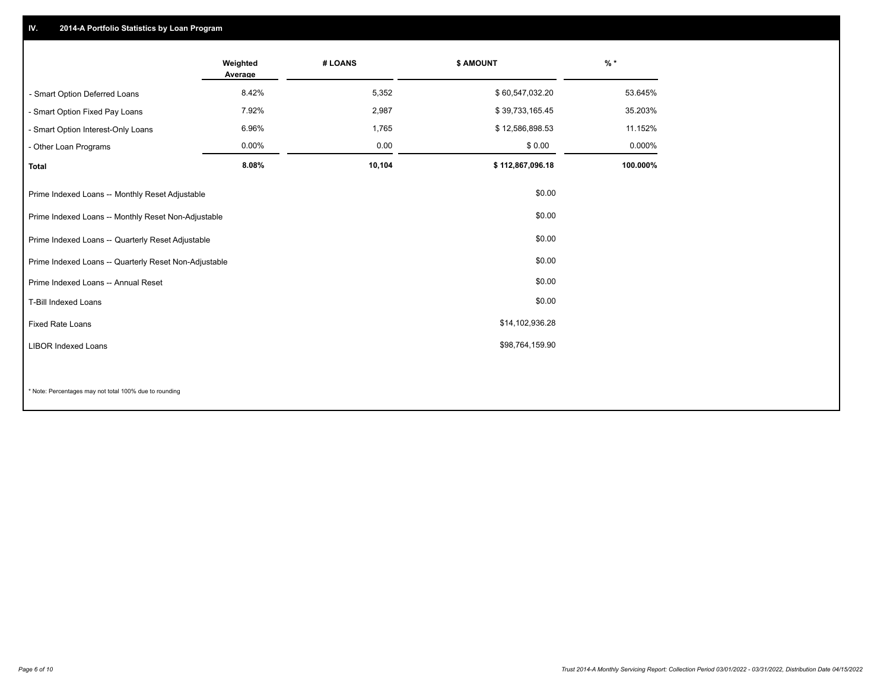## **IV. 2014-A Portfolio Statistics by Loan Program**

|                                                             | Weighted<br>Average | # LOANS | \$ AMOUNT        | $%$ *    |
|-------------------------------------------------------------|---------------------|---------|------------------|----------|
| - Smart Option Deferred Loans                               | 8.42%               | 5,352   | \$60,547,032.20  | 53.645%  |
| Smart Option Fixed Pay Loans                                | 7.92%               | 2,987   | \$39,733,165.45  | 35.203%  |
| - Smart Option Interest-Only Loans                          | 6.96%               | 1,765   | \$12,586,898.53  | 11.152%  |
| - Other Loan Programs                                       | 0.00%               | 0.00    | \$0.00           | 0.000%   |
| <b>Total</b>                                                | 8.08%               | 10,104  | \$112,867,096.18 | 100.000% |
| Prime Indexed Loans -- Monthly Reset Adjustable             |                     |         | \$0.00           |          |
| Prime Indexed Loans -- Monthly Reset Non-Adjustable         |                     |         | \$0.00           |          |
| \$0.00<br>Prime Indexed Loans -- Quarterly Reset Adjustable |                     |         |                  |          |
| Prime Indexed Loans -- Quarterly Reset Non-Adjustable       |                     |         | \$0.00           |          |
| Prime Indexed Loans -- Annual Reset                         |                     |         | \$0.00           |          |
| <b>T-Bill Indexed Loans</b>                                 |                     |         | \$0.00           |          |
| Fixed Rate Loans                                            | \$14,102,936.28     |         |                  |          |
| <b>LIBOR Indexed Loans</b>                                  |                     |         | \$98,764,159.90  |          |
|                                                             |                     |         |                  |          |
|                                                             |                     |         |                  |          |

\* Note: Percentages may not total 100% due to rounding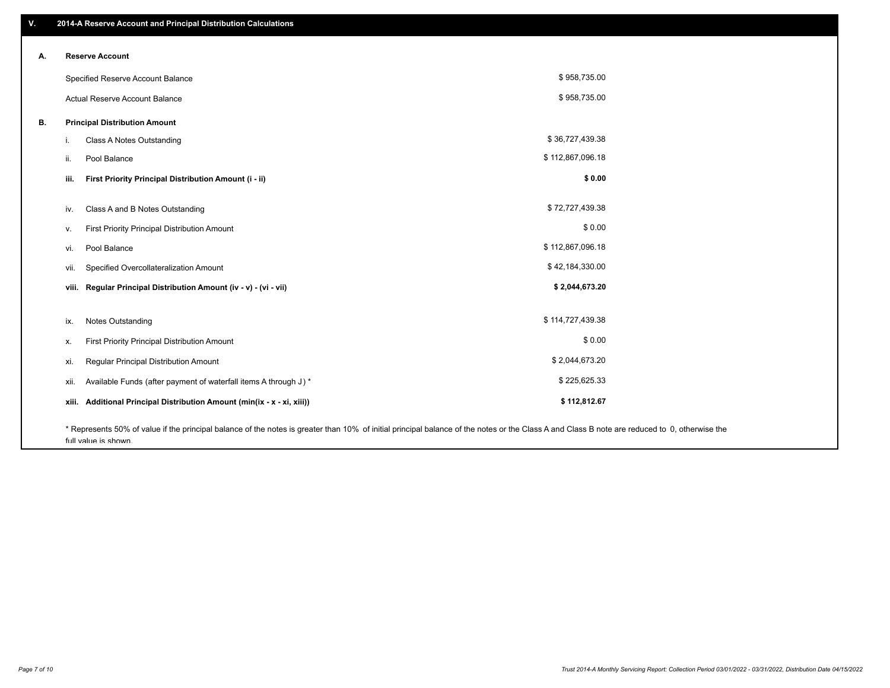| ۷. | 2014-A Reserve Account and Principal Distribution Calculations                                                                                                                                |                  |  |
|----|-----------------------------------------------------------------------------------------------------------------------------------------------------------------------------------------------|------------------|--|
|    | <b>Reserve Account</b>                                                                                                                                                                        |                  |  |
| А. |                                                                                                                                                                                               |                  |  |
|    | Specified Reserve Account Balance                                                                                                                                                             | \$958,735.00     |  |
|    | Actual Reserve Account Balance                                                                                                                                                                | \$958,735.00     |  |
| В. | <b>Principal Distribution Amount</b>                                                                                                                                                          |                  |  |
|    | Class A Notes Outstanding<br>i.                                                                                                                                                               | \$36,727,439.38  |  |
|    | Pool Balance<br>ii.                                                                                                                                                                           | \$112,867,096.18 |  |
|    | First Priority Principal Distribution Amount (i - ii)<br>iii.                                                                                                                                 | \$0.00           |  |
|    |                                                                                                                                                                                               |                  |  |
|    | Class A and B Notes Outstanding<br>iv.                                                                                                                                                        | \$72,727,439.38  |  |
|    | First Priority Principal Distribution Amount<br>v.                                                                                                                                            | \$0.00           |  |
|    | Pool Balance<br>vi.                                                                                                                                                                           | \$112,867,096.18 |  |
|    | Specified Overcollateralization Amount<br>vii.                                                                                                                                                | \$42,184,330.00  |  |
|    | viii. Regular Principal Distribution Amount (iv - v) - (vi - vii)                                                                                                                             | \$2,044,673.20   |  |
|    |                                                                                                                                                                                               |                  |  |
|    | <b>Notes Outstanding</b><br>ix.                                                                                                                                                               | \$114,727,439.38 |  |
|    | First Priority Principal Distribution Amount<br>х.                                                                                                                                            | \$0.00           |  |
|    | Regular Principal Distribution Amount<br>xi.                                                                                                                                                  | \$2,044,673.20   |  |
|    | Available Funds (after payment of waterfall items A through J) *<br>xii.                                                                                                                      | \$225,625.33     |  |
|    | Additional Principal Distribution Amount (min(ix - x - xi, xiii))<br>xiii.                                                                                                                    | \$112,812.67     |  |
|    | * Represents 50% of value if the principal balance of the notes is greater than 10% of initial principal balance of the notes or the Class A and Class B note are reduced to 0, otherwise the |                  |  |

full value is shown.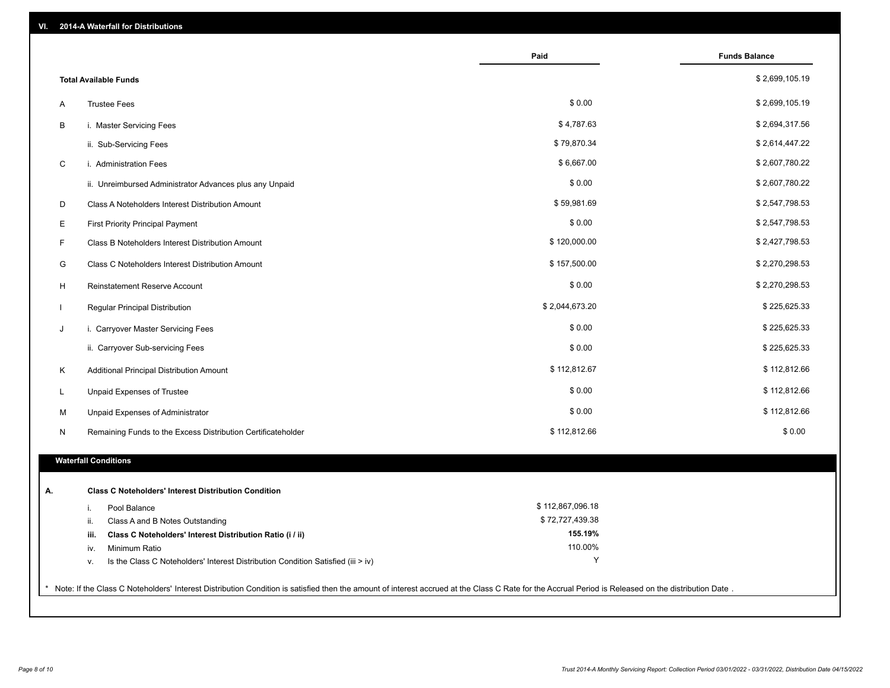| 2014-A Waterfall for Distributions<br>VI.                                                                                                                                                             |                    |                      |
|-------------------------------------------------------------------------------------------------------------------------------------------------------------------------------------------------------|--------------------|----------------------|
|                                                                                                                                                                                                       | Paid               | <b>Funds Balance</b> |
| <b>Total Available Funds</b>                                                                                                                                                                          |                    | \$2,699,105.19       |
| <b>Trustee Fees</b><br>Α                                                                                                                                                                              | \$0.00             | \$2,699,105.19       |
| В<br>i. Master Servicing Fees                                                                                                                                                                         | \$4,787.63         | \$2,694,317.56       |
| ii. Sub-Servicing Fees                                                                                                                                                                                | \$79,870.34        | \$2,614,447.22       |
| $\mathbf C$<br>i. Administration Fees                                                                                                                                                                 | \$6,667.00         | \$2,607,780.22       |
| ii. Unreimbursed Administrator Advances plus any Unpaid                                                                                                                                               | \$0.00             | \$2,607,780.22       |
| D<br>Class A Noteholders Interest Distribution Amount                                                                                                                                                 | \$59,981.69        | \$2,547,798.53       |
| Е<br><b>First Priority Principal Payment</b>                                                                                                                                                          | \$0.00             | \$2,547,798.53       |
| F.<br>Class B Noteholders Interest Distribution Amount                                                                                                                                                | \$120,000.00       | \$2,427,798.53       |
| G<br>Class C Noteholders Interest Distribution Amount                                                                                                                                                 | \$157,500.00       | \$2,270,298.53       |
| н<br>Reinstatement Reserve Account                                                                                                                                                                    | \$0.00             | \$2,270,298.53       |
| Regular Principal Distribution                                                                                                                                                                        | \$2,044,673.20     | \$225,625.33         |
| J<br>i. Carryover Master Servicing Fees                                                                                                                                                               | \$0.00             | \$225,625.33         |
| ii. Carryover Sub-servicing Fees                                                                                                                                                                      | \$0.00             | \$225,625.33         |
| Κ<br>Additional Principal Distribution Amount                                                                                                                                                         | \$112,812.67       | \$112,812.66         |
| Unpaid Expenses of Trustee<br>L                                                                                                                                                                       | \$0.00             | \$112,812.66         |
| М<br>Unpaid Expenses of Administrator                                                                                                                                                                 | \$0.00             | \$112,812.66         |
| N<br>Remaining Funds to the Excess Distribution Certificateholder                                                                                                                                     | \$112,812.66       | \$0.00               |
| <b>Waterfall Conditions</b>                                                                                                                                                                           |                    |                      |
|                                                                                                                                                                                                       |                    |                      |
| <b>Class C Noteholders' Interest Distribution Condition</b><br>А.                                                                                                                                     |                    |                      |
| Pool Balance<br>j.                                                                                                                                                                                    | \$112,867,096.18   |                      |
| Class A and B Notes Outstanding<br>ii.                                                                                                                                                                | \$72,727,439.38    |                      |
| Class C Noteholders' Interest Distribution Ratio (i / ii)<br>iii.<br>Minimum Ratio                                                                                                                    | 155.19%<br>110.00% |                      |
| iv.<br>Is the Class C Noteholders' Interest Distribution Condition Satisfied (iii > iv)                                                                                                               | Υ                  |                      |
| v.                                                                                                                                                                                                    |                    |                      |
| * Note: If the Class C Noteholders' Interest Distribution Condition is satisfied then the amount of interest accrued at the Class C Rate for the Accrual Period is Released on the distribution Date. |                    |                      |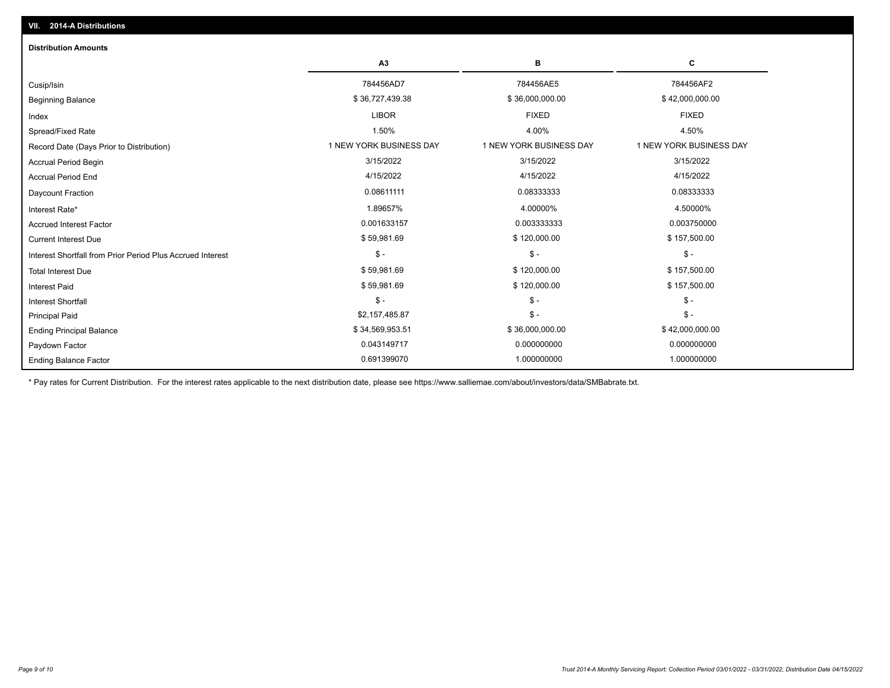| <b>Distribution Amounts</b>                                |                         |                         |                         |
|------------------------------------------------------------|-------------------------|-------------------------|-------------------------|
|                                                            | A <sub>3</sub>          | В                       | C                       |
| Cusip/Isin                                                 | 784456AD7               | 784456AE5               | 784456AF2               |
| <b>Beginning Balance</b>                                   | \$36,727,439.38         | \$36,000,000.00         | \$42,000,000.00         |
| Index                                                      | <b>LIBOR</b>            | <b>FIXED</b>            | <b>FIXED</b>            |
| Spread/Fixed Rate                                          | 1.50%                   | 4.00%                   | 4.50%                   |
| Record Date (Days Prior to Distribution)                   | 1 NEW YORK BUSINESS DAY | 1 NEW YORK BUSINESS DAY | 1 NEW YORK BUSINESS DAY |
| Accrual Period Begin                                       | 3/15/2022               | 3/15/2022               | 3/15/2022               |
| <b>Accrual Period End</b>                                  | 4/15/2022               | 4/15/2022               | 4/15/2022               |
| Daycount Fraction                                          | 0.08611111              | 0.08333333              | 0.08333333              |
| Interest Rate*                                             | 1.89657%                | 4.00000%                | 4.50000%                |
| <b>Accrued Interest Factor</b>                             | 0.001633157             | 0.003333333             | 0.003750000             |
| <b>Current Interest Due</b>                                | \$59,981.69             | \$120,000.00            | \$157,500.00            |
| Interest Shortfall from Prior Period Plus Accrued Interest | $\mathsf{\$}$ -         | $$ -$                   | $\mathsf{\$}$ -         |
| <b>Total Interest Due</b>                                  | \$59,981.69             | \$120,000.00            | \$157,500.00            |
| <b>Interest Paid</b>                                       | \$59,981.69             | \$120,000.00            | \$157,500.00            |
| <b>Interest Shortfall</b>                                  | $\mathbb{S}$ -          | $$ -$                   | $\mathsf{\$}$ -         |
| <b>Principal Paid</b>                                      | \$2,157,485.87          | $$ -$                   | $\mathsf{\$}$ -         |
| <b>Ending Principal Balance</b>                            | \$34,569,953.51         | \$36,000,000.00         | \$42,000,000.00         |
| Paydown Factor                                             | 0.043149717             | 0.000000000             | 0.000000000             |
| <b>Ending Balance Factor</b>                               | 0.691399070             | 1.000000000             | 1.000000000             |

\* Pay rates for Current Distribution. For the interest rates applicable to the next distribution date, please see https://www.salliemae.com/about/investors/data/SMBabrate.txt.

**VII. 2014-A Distributions**